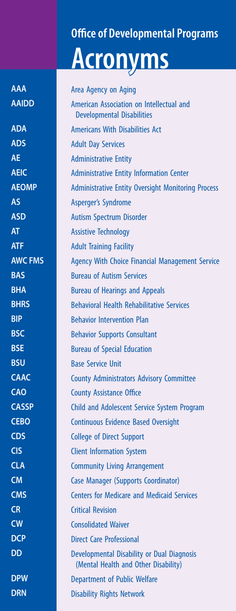## **Office of Developmental Programs Acronyms**

Area Agency on Aging American Association on Intellectual and Developmental Disabilities Americans With Disabilities Act Adult Day Services Administrative Entity Administrative Entity Information Center Administrative Entity Oversight Monitoring Process Asperger's Syndrome Autism Spectrum Disorder Assistive Technology Adult Training Facility Agency With Choice Financial Management Service Bureau of Autism Services Bureau of Hearings and Appeals Behavioral Health Rehabilitative Services Behavior Intervention Plan Behavior Supports Consultant Bureau of Special Education Base Service Unit County Administrators Advisory Committee County Assistance Office Child and Adolescent Service System Program Continuous Evidence Based Oversight College of Direct Support Client Information System Community Living Arrangement Case Manager (Supports Coordinator) Centers for Medicare and Medicaid Services Critical Revision Consolidated Waiver Direct Care Professional Developmental Disability or Dual Diagnosis (Mental Health and Other Disability) Department of Public Welfare Disability Rights Network **AAA AAIDD ADA ADS AE AEIC AEOMP AS ASD AT ATF AWC FMS BAS BHA BHRS BIP BSC BSE BSU CAAC CAO CASSP CEBO CDS CIS CLA CM CMS CR CW DCP DD DPW DRN**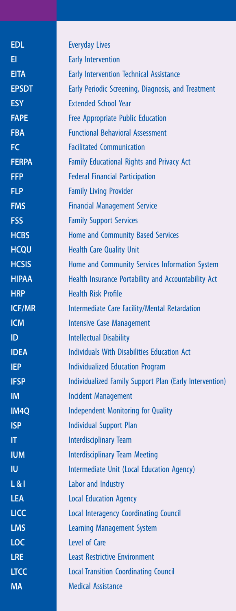Everyday Lives Early Intervention Early Intervention Technical Assistance Early Periodic Screening, Diagnosis, and Treatment Extended School Year Free Appropriate Public Education Functional Behavioral Assessment Facilitated Communication Family Educational Rights and Privacy Act Federal Financial Participation Family Living Provider Financial Management Service Family Support Services Home and Community Based Services Health Care Quality Unit Home and Community Services Information System Health Insurance Portability and Accountability Act Health Risk Profile Intermediate Care Facility/Mental Retardation Intensive Case Management Intellectual Disability Individuals With Disabilities Education Act Individualized Education Program Individualized Family Support Plan (Early Intervention) Incident Management Independent Monitoring for Quality Individual Support Plan Interdisciplinary Team Interdisciplinary Team Meeting Intermediate Unit (Local Education Agency) Labor and Industry Local Education Agency Local Interagency Coordinating Council Learning Management System Level of Care Least Restrictive Environment Local Transition Coordinating Council Medical Assistance **EDL EI EITA EPSDT ESY FAPE FBA FC FERPA FFP FLP FMS FSS HCBS HCQU HCSIS HIPAA HRP ICF/MR ICM ID IDEA IEP IFSP IM IM4Q ISP IT IUM IU L & I LEA LICC LMS LOC LRE LTCC MA**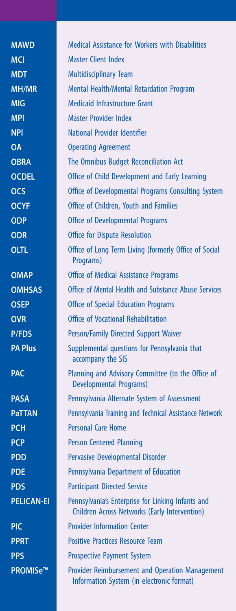Medical Assistance for Workers with Disabilities Master Client Index Multidisciplinary Team Mental Health/Mental Retardation Program Medicaid Infrastructure Grant Master Provider Index National Provider Identifier Operating Agreement The Omnibus Budget Reconciliation Act Office of Child Development and Early Learning Office of Developmental Programs Consulting System Office of Children, Youth and Families Office of Developmental Programs Office for Dispute Resolution Office of Long Term Living (formerly Office of Social Programs) Office of Medical Assistance Programs Office of Mental Health and Substance Abuse Services Office of Special Education Programs Office of Vocational Rehabilitation Person/Family Directed Support Waiver Supplemental questions for Pennsylvania that accompany the SIS Planning and Advisory Committee (to the Office of Developmental Programs) Pennsylvania Alternate System of Assessment Pennsylvania Training and Technical Assistance Network Personal Care Home Person Centered Planning Pervasive Developmental Disorder Pennsylvania Department of Education Participant Directed Service Pennsylvania's Enterprise for Linking Infants and Children Across Networks (Early Intervention) Provider Information Center Positive Practices Resource Team Prospective Payment System Provider Reimbursement and Operation Management Information System (in electronic format) **MAWD MCI MDT MH/MR MIG MPI NPI OA OBRA OCDEL OCS OCYF ODP ODR OLTL OMAP OMHSAS OSEP OVR P/FDS PA Plus PAC PASA PaTTAN PCH PCP PDD PDE PDS PELICAN-EI PIC PPRT PPS PROMISe™**